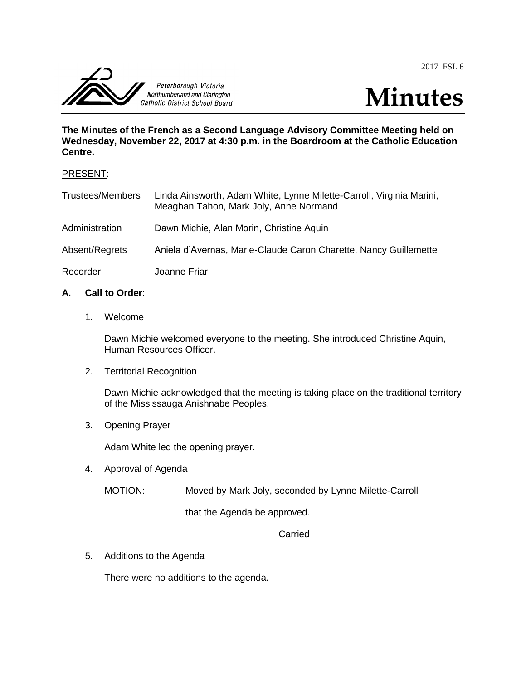2017 FSL 6



**The Minutes of the French as a Second Language Advisory Committee Meeting held on Wednesday, November 22, 2017 at 4:30 p.m. in the Boardroom at the Catholic Education Centre.**

#### PRESENT:

| <b>Trustees/Members</b> | Linda Ainsworth, Adam White, Lynne Milette-Carroll, Virginia Marini,<br>Meaghan Tahon, Mark Joly, Anne Normand |
|-------------------------|----------------------------------------------------------------------------------------------------------------|
| Administration          | Dawn Michie, Alan Morin, Christine Aquin                                                                       |
| Absent/Regrets          | Aniela d'Avernas, Marie-Claude Caron Charette, Nancy Guillemette                                               |
| Recorder                | Joanne Friar                                                                                                   |

# **A. Call to Order**:

1. Welcome

Dawn Michie welcomed everyone to the meeting. She introduced Christine Aquin, Human Resources Officer.

2. Territorial Recognition

Dawn Michie acknowledged that the meeting is taking place on the traditional territory of the Mississauga Anishnabe Peoples.

3. Opening Prayer

Adam White led the opening prayer.

4. Approval of Agenda

MOTION: Moved by Mark Joly, seconded by Lynne Milette-Carroll

that the Agenda be approved.

### Carried

5. Additions to the Agenda

There were no additions to the agenda.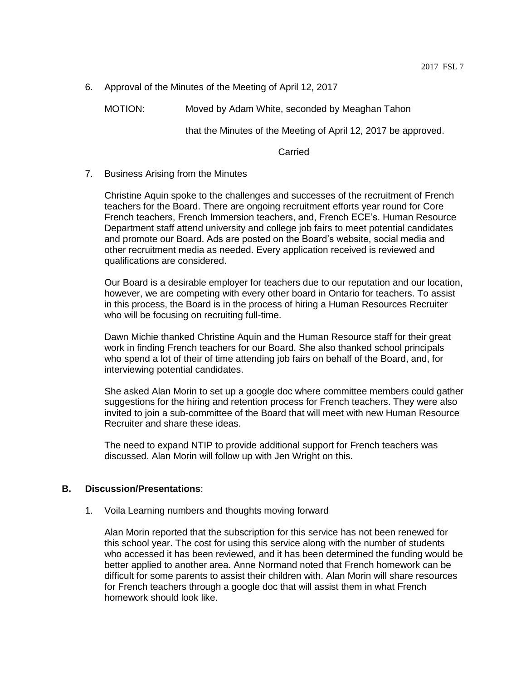6. Approval of the Minutes of the Meeting of April 12, 2017

MOTION: Moved by Adam White, seconded by Meaghan Tahon

that the Minutes of the Meeting of April 12, 2017 be approved.

**Carried** 

#### 7. Business Arising from the Minutes

Christine Aquin spoke to the challenges and successes of the recruitment of French teachers for the Board. There are ongoing recruitment efforts year round for Core French teachers, French Immersion teachers, and, French ECE's. Human Resource Department staff attend university and college job fairs to meet potential candidates and promote our Board. Ads are posted on the Board's website, social media and other recruitment media as needed. Every application received is reviewed and qualifications are considered.

Our Board is a desirable employer for teachers due to our reputation and our location, however, we are competing with every other board in Ontario for teachers. To assist in this process, the Board is in the process of hiring a Human Resources Recruiter who will be focusing on recruiting full-time.

Dawn Michie thanked Christine Aquin and the Human Resource staff for their great work in finding French teachers for our Board. She also thanked school principals who spend a lot of their of time attending job fairs on behalf of the Board, and, for interviewing potential candidates.

She asked Alan Morin to set up a google doc where committee members could gather suggestions for the hiring and retention process for French teachers. They were also invited to join a sub-committee of the Board that will meet with new Human Resource Recruiter and share these ideas.

The need to expand NTIP to provide additional support for French teachers was discussed. Alan Morin will follow up with Jen Wright on this.

#### **B. Discussion/Presentations**:

1. Voila Learning numbers and thoughts moving forward

Alan Morin reported that the subscription for this service has not been renewed for this school year. The cost for using this service along with the number of students who accessed it has been reviewed, and it has been determined the funding would be better applied to another area. Anne Normand noted that French homework can be difficult for some parents to assist their children with. Alan Morin will share resources for French teachers through a google doc that will assist them in what French homework should look like.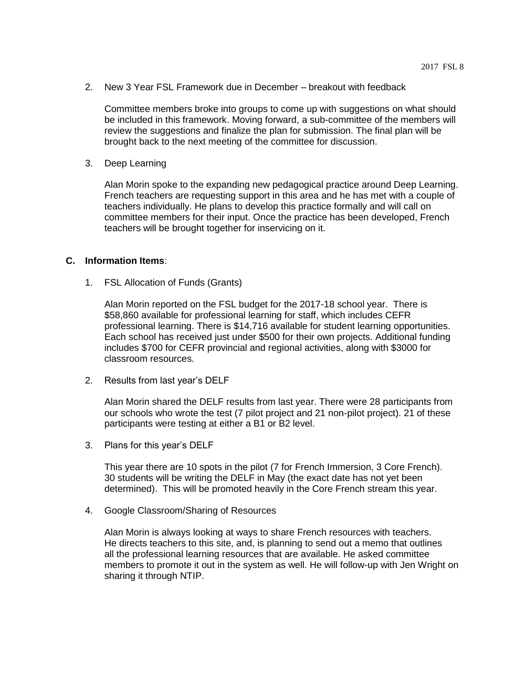2. New 3 Year FSL Framework due in December – breakout with feedback

Committee members broke into groups to come up with suggestions on what should be included in this framework. Moving forward, a sub-committee of the members will review the suggestions and finalize the plan for submission. The final plan will be brought back to the next meeting of the committee for discussion.

3. Deep Learning

Alan Morin spoke to the expanding new pedagogical practice around Deep Learning. French teachers are requesting support in this area and he has met with a couple of teachers individually. He plans to develop this practice formally and will call on committee members for their input. Once the practice has been developed, French teachers will be brought together for inservicing on it.

## **C. Information Items**:

1. FSL Allocation of Funds (Grants)

Alan Morin reported on the FSL budget for the 2017-18 school year. There is \$58,860 available for professional learning for staff, which includes CEFR professional learning. There is \$14,716 available for student learning opportunities. Each school has received just under \$500 for their own projects. Additional funding includes \$700 for CEFR provincial and regional activities, along with \$3000 for classroom resources.

2. Results from last year's DELF

Alan Morin shared the DELF results from last year. There were 28 participants from our schools who wrote the test (7 pilot project and 21 non-pilot project). 21 of these participants were testing at either a B1 or B2 level.

3. Plans for this year's DELF

This year there are 10 spots in the pilot (7 for French Immersion, 3 Core French). 30 students will be writing the DELF in May (the exact date has not yet been determined). This will be promoted heavily in the Core French stream this year.

4. Google Classroom/Sharing of Resources

Alan Morin is always looking at ways to share French resources with teachers. He directs teachers to this site, and, is planning to send out a memo that outlines all the professional learning resources that are available. He asked committee members to promote it out in the system as well. He will follow-up with Jen Wright on sharing it through NTIP.